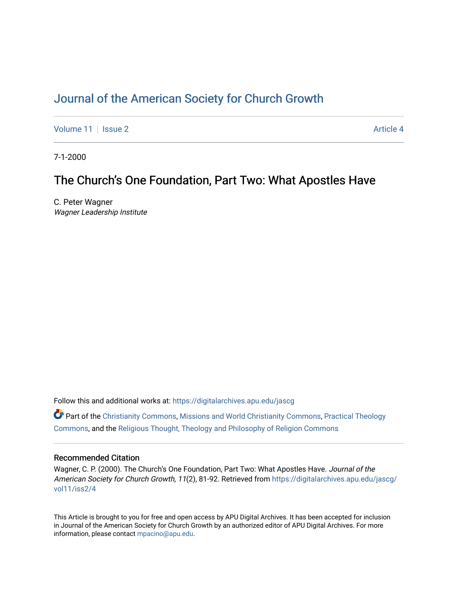# [Journal of the American Society for Church Growth](https://digitalarchives.apu.edu/jascg)

[Volume 11](https://digitalarchives.apu.edu/jascg/vol11) | [Issue 2](https://digitalarchives.apu.edu/jascg/vol11/iss2) Article 4

7-1-2000

# The Church's One Foundation, Part Two: What Apostles Have

C. Peter Wagner Wagner Leadership Institute

Follow this and additional works at: [https://digitalarchives.apu.edu/jascg](https://digitalarchives.apu.edu/jascg?utm_source=digitalarchives.apu.edu%2Fjascg%2Fvol11%2Fiss2%2F4&utm_medium=PDF&utm_campaign=PDFCoverPages) 

 $\bullet$  Part of the [Christianity Commons,](http://network.bepress.com/hgg/discipline/1181?utm_source=digitalarchives.apu.edu%2Fjascg%2Fvol11%2Fiss2%2F4&utm_medium=PDF&utm_campaign=PDFCoverPages) [Missions and World Christianity Commons](http://network.bepress.com/hgg/discipline/1187?utm_source=digitalarchives.apu.edu%2Fjascg%2Fvol11%2Fiss2%2F4&utm_medium=PDF&utm_campaign=PDFCoverPages), Practical Theology [Commons](http://network.bepress.com/hgg/discipline/1186?utm_source=digitalarchives.apu.edu%2Fjascg%2Fvol11%2Fiss2%2F4&utm_medium=PDF&utm_campaign=PDFCoverPages), and the [Religious Thought, Theology and Philosophy of Religion Commons](http://network.bepress.com/hgg/discipline/544?utm_source=digitalarchives.apu.edu%2Fjascg%2Fvol11%2Fiss2%2F4&utm_medium=PDF&utm_campaign=PDFCoverPages) 

# Recommended Citation

Wagner, C. P. (2000). The Church's One Foundation, Part Two: What Apostles Have. Journal of the American Society for Church Growth, 11(2), 81-92. Retrieved from [https://digitalarchives.apu.edu/jascg/](https://digitalarchives.apu.edu/jascg/vol11/iss2/4?utm_source=digitalarchives.apu.edu%2Fjascg%2Fvol11%2Fiss2%2F4&utm_medium=PDF&utm_campaign=PDFCoverPages) [vol11/iss2/4](https://digitalarchives.apu.edu/jascg/vol11/iss2/4?utm_source=digitalarchives.apu.edu%2Fjascg%2Fvol11%2Fiss2%2F4&utm_medium=PDF&utm_campaign=PDFCoverPages)

This Article is brought to you for free and open access by APU Digital Archives. It has been accepted for inclusion in Journal of the American Society for Church Growth by an authorized editor of APU Digital Archives. For more information, please contact [mpacino@apu.edu](mailto:mpacino@apu.edu).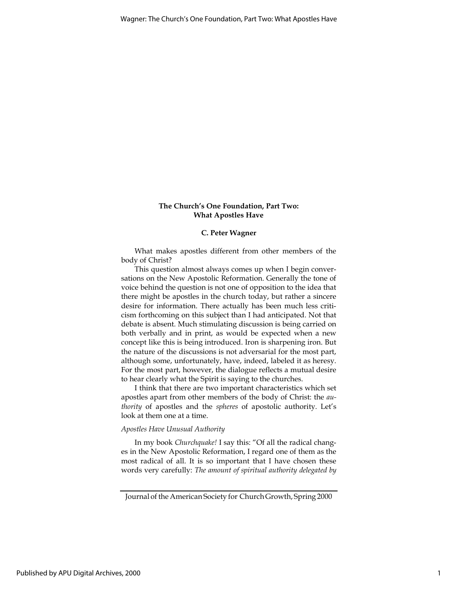# The Church's One Foundation, Part Two: What Apostles Have

# C. Peter Wagner

What makes apostles different from other members of the body of Christ?

This question almost always comes up when I begin conversations on the New Apostolic Reformation. Generally the tone of voice behind the question is not one of opposition to the idea that there might be apostles in the church today, but rather a sincere desire for information. There actually has been much less criticism forthcoming on this subject than I had anticipated. Not that debate is absent. Much stimulating discussion is being carried on both verbally and in print, as would be expected when a new concept like this is being introduced. Iron is sharpening iron. But the nature of the discussions is not adversarial for the most part, although some, unfortunately, have, indeed, labeled it as heresy. For the most part, however, the dialogue reflects a mutual desire to hear clearly what the Spirit is saying to the churches.

I think that there are two important characteristics which set apostles apart from other members of the body of Christ: the authority of apostles and the spheres of apostolic authority. Let's look at them one at a time.

#### Apostles Have Unusual Authority

In my book Churchquake! I say this: "Of all the radical changes in the New Apostolic Reformation, I regard one of them as the most radical of all. It is so important that I have chosen these words very carefully: The amount of spiritual authority delegated by

Journal of the American Society for Church Growth, Spring 2000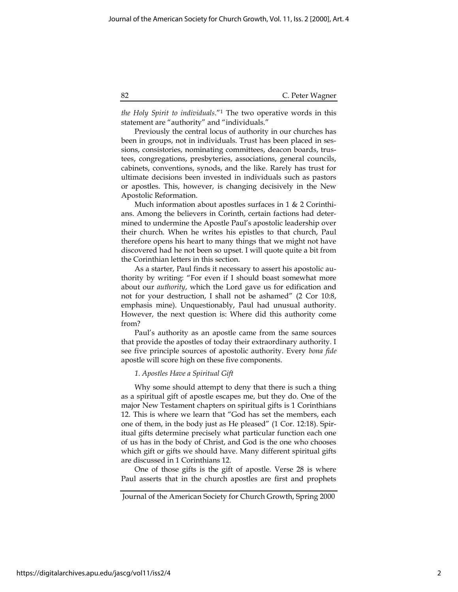the Holy Spirit to individuals."<sup>1</sup> The two operative words in this statement are "authority" and "individuals."

Previously the central locus of authority in our churches has been in groups, not in individuals. Trust has been placed in sessions, consistories, nominating committees, deacon boards, trustees, congregations, presbyteries, associations, general councils, cabinets, conventions, synods, and the like. Rarely has trust for ultimate decisions been invested in individuals such as pastors or apostles. This, however, is changing decisively in the New Apostolic Reformation.

Much information about apostles surfaces in 1 & 2 Corinthians. Among the believers in Corinth, certain factions had determined to undermine the Apostle Paul's apostolic leadership over their church. When he writes his epistles to that church, Paul therefore opens his heart to many things that we might not have discovered had he not been so upset. I will quote quite a bit from the Corinthian letters in this section.

As a starter, Paul finds it necessary to assert his apostolic authority by writing: "For even if I should boast somewhat more about our authority, which the Lord gave us for edification and not for your destruction, I shall not be ashamed" (2 Cor 10:8, emphasis mine). Unquestionably, Paul had unusual authority. However, the next question is: Where did this authority come from?

Paul's authority as an apostle came from the same sources that provide the apostles of today their extraordinary authority. I see five principle sources of apostolic authority. Every bona fide apostle will score high on these five components.

# 1. Apostles Have a Spiritual Gift

Why some should attempt to deny that there is such a thing as a spiritual gift of apostle escapes me, but they do. One of the major New Testament chapters on spiritual gifts is 1 Corinthians 12. This is where we learn that "God has set the members, each one of them, in the body just as He pleased" (1 Cor. 12:18). Spiritual gifts determine precisely what particular function each one of us has in the body of Christ, and God is the one who chooses which gift or gifts we should have. Many different spiritual gifts are discussed in 1 Corinthians 12.

One of those gifts is the gift of apostle. Verse 28 is where Paul asserts that in the church apostles are first and prophets

Journal of the American Society for Church Growth, Spring 2000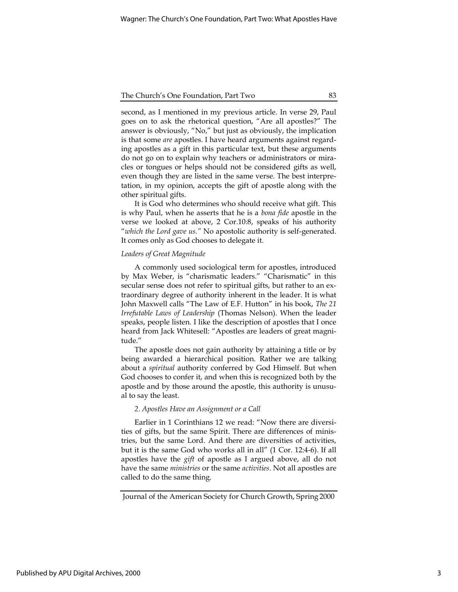second, as I mentioned in my previous article. In verse 29, Paul goes on to ask the rhetorical question, "Are all apostles?" The answer is obviously, "No," but just as obviously, the implication is that some are apostles. I have heard arguments against regarding apostles as a gift in this particular text, but these arguments do not go on to explain why teachers or administrators or miracles or tongues or helps should not be considered gifts as well, even though they are listed in the same verse. The best interpretation, in my opinion, accepts the gift of apostle along with the other spiritual gifts.

It is God who determines who should receive what gift. This is why Paul, when he asserts that he is a bona fide apostle in the verse we looked at above, 2 Cor.10:8, speaks of his authority "which the Lord gave us." No apostolic authority is self-generated. It comes only as God chooses to delegate it.

#### Leaders of Great Magnitude

A commonly used sociological term for apostles, introduced by Max Weber, is "charismatic leaders." "Charismatic" in this secular sense does not refer to spiritual gifts, but rather to an extraordinary degree of authority inherent in the leader. It is what John Maxwell calls "The Law of E.F. Hutton" in his book, The 21 Irrefutable Laws of Leadership (Thomas Nelson). When the leader speaks, people listen. I like the description of apostles that I once heard from Jack Whitesell: "Apostles are leaders of great magnitude."

The apostle does not gain authority by attaining a title or by being awarded a hierarchical position. Rather we are talking about a spiritual authority conferred by God Himself. But when God chooses to confer it, and when this is recognized both by the apostle and by those around the apostle, this authority is unusual to say the least.

#### 2. Apostles Have an Assignment or a Call

Earlier in 1 Corinthians 12 we read: "Now there are diversities of gifts, but the same Spirit. There are differences of ministries, but the same Lord. And there are diversities of activities, but it is the same God who works all in all" (1 Cor. 12:4-6). If all apostles have the gift of apostle as I argued above, all do not have the same *ministries* or the same *activities*. Not all apostles are called to do the same thing.

Journal of the American Society for Church Growth, Spring 2000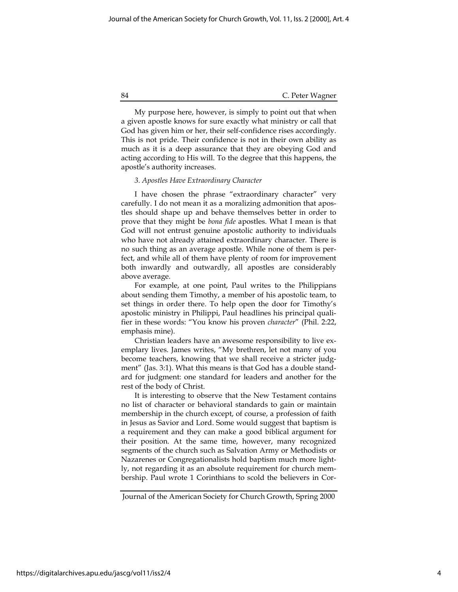My purpose here, however, is simply to point out that when a given apostle knows for sure exactly what ministry or call that God has given him or her, their self-confidence rises accordingly. This is not pride. Their confidence is not in their own ability as much as it is a deep assurance that they are obeying God and acting according to His will. To the degree that this happens, the apostle's authority increases.

## 3. Apostles Have Extraordinary Character

I have chosen the phrase "extraordinary character" very carefully. I do not mean it as a moralizing admonition that apostles should shape up and behave themselves better in order to prove that they might be bona fide apostles. What I mean is that God will not entrust genuine apostolic authority to individuals who have not already attained extraordinary character. There is no such thing as an average apostle. While none of them is perfect, and while all of them have plenty of room for improvement both inwardly and outwardly, all apostles are considerably above average.

For example, at one point, Paul writes to the Philippians about sending them Timothy, a member of his apostolic team, to set things in order there. To help open the door for Timothy's apostolic ministry in Philippi, Paul headlines his principal qualifier in these words: "You know his proven character" (Phil. 2:22, emphasis mine).

Christian leaders have an awesome responsibility to live exemplary lives. James writes, "My brethren, let not many of you become teachers, knowing that we shall receive a stricter judgment" (Jas. 3:1). What this means is that God has a double standard for judgment: one standard for leaders and another for the rest of the body of Christ.

It is interesting to observe that the New Testament contains no list of character or behavioral standards to gain or maintain membership in the church except, of course, a profession of faith in Jesus as Savior and Lord. Some would suggest that baptism is a requirement and they can make a good biblical argument for their position. At the same time, however, many recognized segments of the church such as Salvation Army or Methodists or Nazarenes or Congregationalists hold baptism much more lightly, not regarding it as an absolute requirement for church membership. Paul wrote 1 Corinthians to scold the believers in Cor-

Journal of the American Society for Church Growth, Spring 2000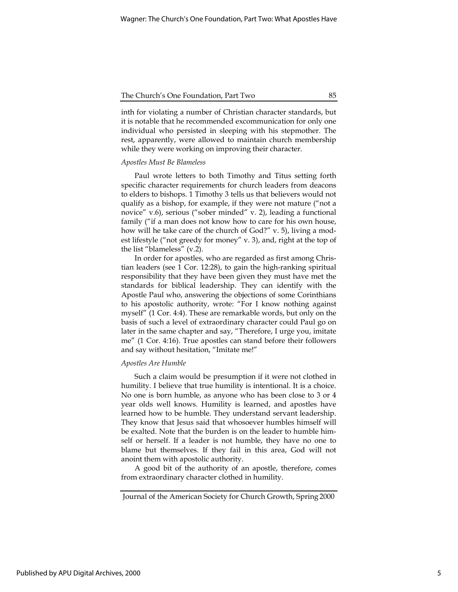inth for violating a number of Christian character standards, but it is notable that he recommended excommunication for only one individual who persisted in sleeping with his stepmother. The rest, apparently, were allowed to maintain church membership while they were working on improving their character.

#### Apostles Must Be Blameless

Paul wrote letters to both Timothy and Titus setting forth specific character requirements for church leaders from deacons to elders to bishops. 1 Timothy 3 tells us that believers would not qualify as a bishop, for example, if they were not mature ("not a novice" v.6), serious ("sober minded" v. 2), leading a functional family ("if a man does not know how to care for his own house, how will he take care of the church of God?" v. 5), living a modest lifestyle ("not greedy for money" v. 3), and, right at the top of the list "blameless" (v.2).

In order for apostles, who are regarded as first among Christian leaders (see 1 Cor. 12:28), to gain the high-ranking spiritual responsibility that they have been given they must have met the standards for biblical leadership. They can identify with the Apostle Paul who, answering the objections of some Corinthians to his apostolic authority, wrote: "For I know nothing against myself" (1 Cor. 4:4). These are remarkable words, but only on the basis of such a level of extraordinary character could Paul go on later in the same chapter and say, "Therefore, I urge you, imitate me" (1 Cor. 4:16). True apostles can stand before their followers and say without hesitation, "Imitate me!"

#### Apostles Are Humble

Such a claim would be presumption if it were not clothed in humility. I believe that true humility is intentional. It is a choice. No one is born humble, as anyone who has been close to 3 or 4 year olds well knows. Humility is learned, and apostles have learned how to be humble. They understand servant leadership. They know that Jesus said that whosoever humbles himself will be exalted. Note that the burden is on the leader to humble himself or herself. If a leader is not humble, they have no one to blame but themselves. If they fail in this area, God will not anoint them with apostolic authority.

A good bit of the authority of an apostle, therefore, comes from extraordinary character clothed in humility.

5

Journal of the American Society for Church Growth, Spring 2000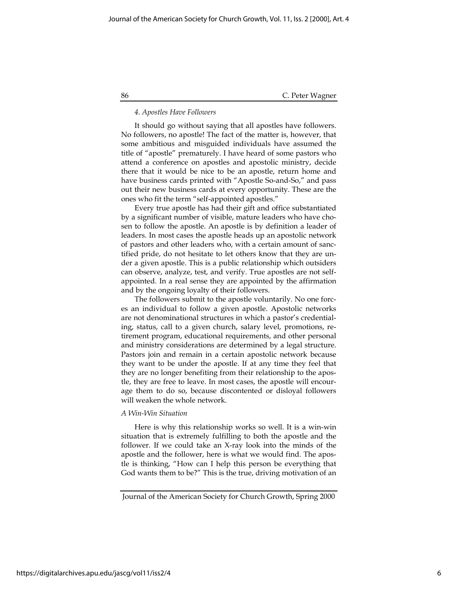#### 4. Apostles Have Followers

It should go without saying that all apostles have followers. No followers, no apostle! The fact of the matter is, however, that some ambitious and misguided individuals have assumed the title of "apostle" prematurely. I have heard of some pastors who attend a conference on apostles and apostolic ministry, decide there that it would be nice to be an apostle, return home and have business cards printed with "Apostle So-and-So," and pass out their new business cards at every opportunity. These are the ones who fit the term "self-appointed apostles."

Every true apostle has had their gift and office substantiated by a significant number of visible, mature leaders who have chosen to follow the apostle. An apostle is by definition a leader of leaders. In most cases the apostle heads up an apostolic network of pastors and other leaders who, with a certain amount of sanctified pride, do not hesitate to let others know that they are under a given apostle. This is a public relationship which outsiders can observe, analyze, test, and verify. True apostles are not selfappointed. In a real sense they are appointed by the affirmation and by the ongoing loyalty of their followers.

The followers submit to the apostle voluntarily. No one forces an individual to follow a given apostle. Apostolic networks are not denominational structures in which a pastor's credentialing, status, call to a given church, salary level, promotions, retirement program, educational requirements, and other personal and ministry considerations are determined by a legal structure. Pastors join and remain in a certain apostolic network because they want to be under the apostle. If at any time they feel that they are no longer benefiting from their relationship to the apostle, they are free to leave. In most cases, the apostle will encourage them to do so, because discontented or disloyal followers will weaken the whole network.

#### A Win-Win Situation

Here is why this relationship works so well. It is a win-win situation that is extremely fulfilling to both the apostle and the follower. If we could take an X-ray look into the minds of the apostle and the follower, here is what we would find. The apostle is thinking, "How can I help this person be everything that God wants them to be?" This is the true, driving motivation of an

Journal of the American Society for Church Growth, Spring 2000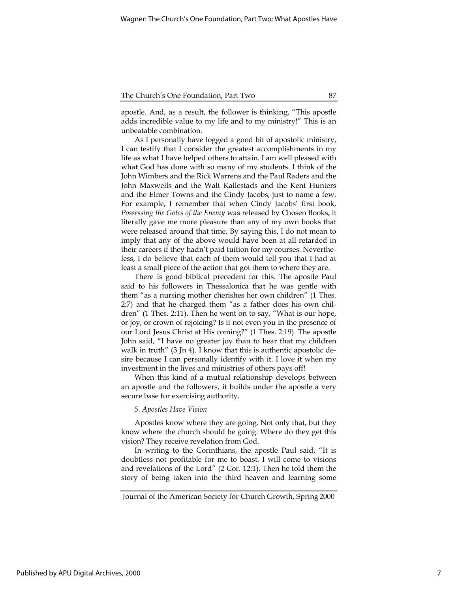apostle. And, as a result, the follower is thinking, "This apostle adds incredible value to my life and to my ministry!" This is an unbeatable combination.

As I personally have logged a good bit of apostolic ministry, I can testify that I consider the greatest accomplishments in my life as what I have helped others to attain. I am well pleased with what God has done with so many of my students. I think of the John Wimbers and the Rick Warrens and the Paul Raders and the John Maxwells and the Walt Kallestads and the Kent Hunters and the Elmer Towns and the Cindy Jacobs, just to name a few. For example, I remember that when Cindy Jacobs' first book, Possessing the Gates of the Enemy was released by Chosen Books, it literally gave me more pleasure than any of my own books that were released around that time. By saying this, I do not mean to imply that any of the above would have been at all retarded in their careers if they hadn't paid tuition for my courses. Nevertheless, I do believe that each of them would tell you that I had at least a small piece of the action that got them to where they are.

There is good biblical precedent for this. The apostle Paul said to his followers in Thessalonica that he was gentle with them "as a nursing mother cherishes her own children" (1 Thes. 2:7) and that he charged them "as a father does his own children" (1 Thes. 2:11). Then he went on to say, "What is our hope, or joy, or crown of rejoicing? Is it not even you in the presence of our Lord Jesus Christ at His coming?" (1 Thes. 2:19). The apostle John said, "I have no greater joy than to hear that my children walk in truth" (3 Jn 4). I know that this is authentic apostolic desire because I can personally identify with it. I love it when my investment in the lives and ministries of others pays off!

When this kind of a mutual relationship develops between an apostle and the followers, it builds under the apostle a very secure base for exercising authority.

#### 5. Apostles Have Vision

Apostles know where they are going. Not only that, but they know where the church should be going. Where do they get this vision? They receive revelation from God.

In writing to the Corinthians, the apostle Paul said, "It is doubtless not profitable for me to boast. I will come to visions and revelations of the Lord" (2 Cor. 12:1). Then he told them the story of being taken into the third heaven and learning some

Journal of the American Society for Church Growth, Spring 2000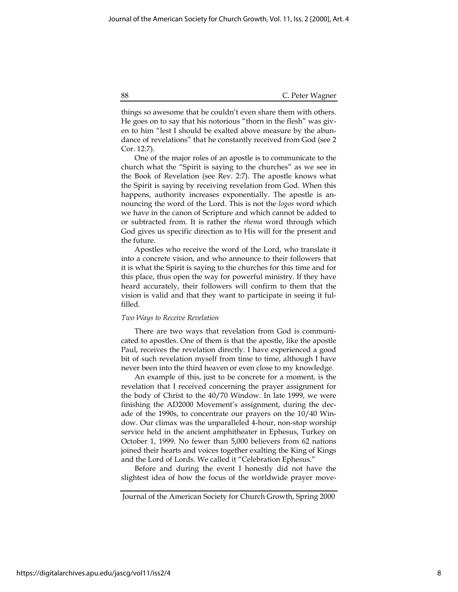things so awesome that he couldn't even share them with others. He goes on to say that his notorious "thorn in the flesh" was given to him "lest I should be exalted above measure by the abundance of revelations" that he constantly received from God (see 2 Cor. 12:7).

One of the major roles of an apostle is to communicate to the church what the "Spirit is saying to the churches" as we see in the Book of Revelation (see Rev. 2:7). The apostle knows what the Spirit is saying by receiving revelation from God. When this happens, authority increases exponentially. The apostle is announcing the word of the Lord. This is not the logos word which we have in the canon of Scripture and which cannot be added to or subtracted from. It is rather the rhema word through which God gives us specific direction as to His will for the present and the future.

Apostles who receive the word of the Lord, who translate it into a concrete vision, and who announce to their followers that it is what the Spirit is saying to the churches for this time and for this place, thus open the way for powerful ministry. If they have heard accurately, their followers will confirm to them that the vision is valid and that they want to participate in seeing it fulfilled.

#### Two Ways to Receive Revelation

There are two ways that revelation from God is communicated to apostles. One of them is that the apostle, like the apostle Paul, receives the revelation directly. I have experienced a good bit of such revelation myself from time to time, although I have never been into the third heaven or even close to my knowledge.

An example of this, just to be concrete for a moment, is the revelation that I received concerning the prayer assignment for the body of Christ to the 40/70 Window. In late 1999, we were finishing the AD2000 Movement's assignment, during the decade of the 1990s, to concentrate our prayers on the 10/40 Window. Our climax was the unparalleled 4-hour, non-stop worship service held in the ancient amphitheater in Ephesus, Turkey on October 1, 1999. No fewer than 5,000 believers from 62 nations joined their hearts and voices together exalting the King of Kings and the Lord of Lords. We called it "Celebration Ephesus."

Before and during the event I honestly did not have the slightest idea of how the focus of the worldwide prayer move-

Journal of the American Society for Church Growth, Spring 2000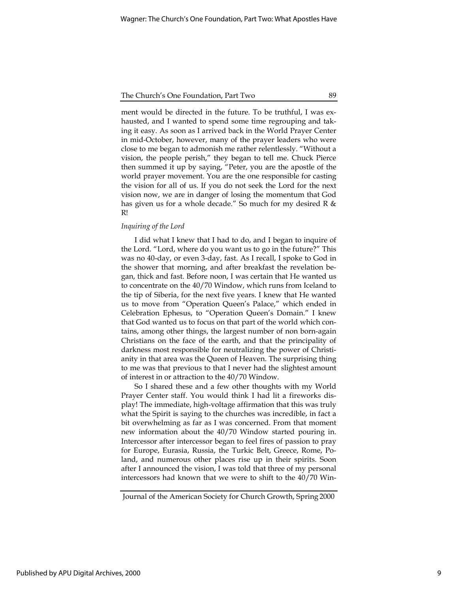ment would be directed in the future. To be truthful, I was exhausted, and I wanted to spend some time regrouping and taking it easy. As soon as I arrived back in the World Prayer Center in mid-October, however, many of the prayer leaders who were close to me began to admonish me rather relentlessly. "Without a vision, the people perish," they began to tell me. Chuck Pierce then summed it up by saying, "Peter, you are the apostle of the world prayer movement. You are the one responsible for casting the vision for all of us. If you do not seek the Lord for the next vision now, we are in danger of losing the momentum that God has given us for a whole decade." So much for my desired R & R!

# Inquiring of the Lord

I did what I knew that I had to do, and I began to inquire of the Lord. "Lord, where do you want us to go in the future?" This was no 40-day, or even 3-day, fast. As I recall, I spoke to God in the shower that morning, and after breakfast the revelation began, thick and fast. Before noon, I was certain that He wanted us to concentrate on the 40/70 Window, which runs from Iceland to the tip of Siberia, for the next five years. I knew that He wanted us to move from "Operation Queen's Palace," which ended in Celebration Ephesus, to "Operation Queen's Domain." I knew that God wanted us to focus on that part of the world which contains, among other things, the largest number of non born-again Christians on the face of the earth, and that the principality of darkness most responsible for neutralizing the power of Christianity in that area was the Queen of Heaven. The surprising thing to me was that previous to that I never had the slightest amount of interest in or attraction to the 40/70 Window.

So I shared these and a few other thoughts with my World Prayer Center staff. You would think I had lit a fireworks display! The immediate, high-voltage affirmation that this was truly what the Spirit is saying to the churches was incredible, in fact a bit overwhelming as far as I was concerned. From that moment new information about the 40/70 Window started pouring in. Intercessor after intercessor began to feel fires of passion to pray for Europe, Eurasia, Russia, the Turkic Belt, Greece, Rome, Poland, and numerous other places rise up in their spirits. Soon after I announced the vision, I was told that three of my personal intercessors had known that we were to shift to the 40/70 Win-

Journal of the American Society for Church Growth, Spring 2000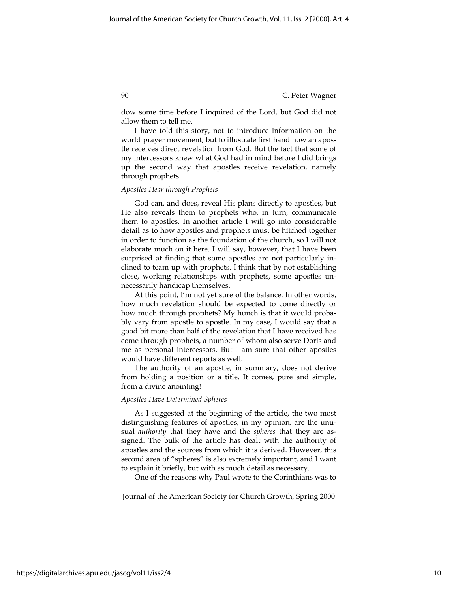dow some time before I inquired of the Lord, but God did not allow them to tell me.

I have told this story, not to introduce information on the world prayer movement, but to illustrate first hand how an apostle receives direct revelation from God. But the fact that some of my intercessors knew what God had in mind before I did brings up the second way that apostles receive revelation, namely through prophets.

## Apostles Hear through Prophets

God can, and does, reveal His plans directly to apostles, but He also reveals them to prophets who, in turn, communicate them to apostles. In another article I will go into considerable detail as to how apostles and prophets must be hitched together in order to function as the foundation of the church, so I will not elaborate much on it here. I will say, however, that I have been surprised at finding that some apostles are not particularly inclined to team up with prophets. I think that by not establishing close, working relationships with prophets, some apostles unnecessarily handicap themselves.

At this point, I'm not yet sure of the balance. In other words, how much revelation should be expected to come directly or how much through prophets? My hunch is that it would probably vary from apostle to apostle. In my case, I would say that a good bit more than half of the revelation that I have received has come through prophets, a number of whom also serve Doris and me as personal intercessors. But I am sure that other apostles would have different reports as well.

The authority of an apostle, in summary, does not derive from holding a position or a title. It comes, pure and simple, from a divine anointing!

#### Apostles Have Determined Spheres

As I suggested at the beginning of the article, the two most distinguishing features of apostles, in my opinion, are the unusual *authority* that they have and the *spheres* that they are assigned. The bulk of the article has dealt with the authority of apostles and the sources from which it is derived. However, this second area of "spheres" is also extremely important, and I want to explain it briefly, but with as much detail as necessary.

One of the reasons why Paul wrote to the Corinthians was to

Journal of the American Society for Church Growth, Spring 2000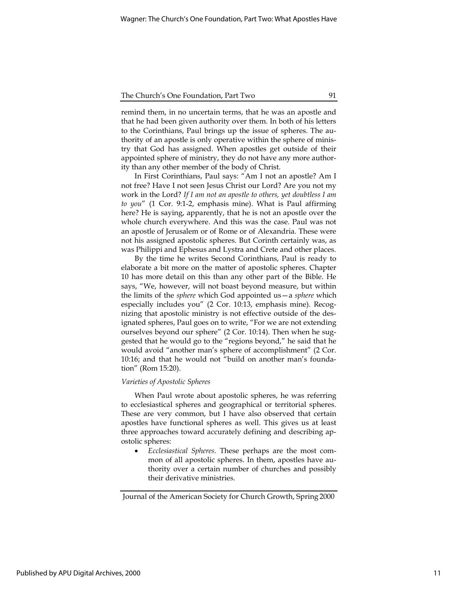remind them, in no uncertain terms, that he was an apostle and that he had been given authority over them. In both of his letters to the Corinthians, Paul brings up the issue of spheres. The authority of an apostle is only operative within the sphere of ministry that God has assigned. When apostles get outside of their appointed sphere of ministry, they do not have any more authority than any other member of the body of Christ.

In First Corinthians, Paul says: "Am I not an apostle? Am I not free? Have I not seen Jesus Christ our Lord? Are you not my work in the Lord? If I am not an apostle to others, yet doubtless I am to you" (1 Cor. 9:1-2, emphasis mine). What is Paul affirming here? He is saying, apparently, that he is not an apostle over the whole church everywhere. And this was the case. Paul was not an apostle of Jerusalem or of Rome or of Alexandria. These were not his assigned apostolic spheres. But Corinth certainly was, as was Philippi and Ephesus and Lystra and Crete and other places.

By the time he writes Second Corinthians, Paul is ready to elaborate a bit more on the matter of apostolic spheres. Chapter 10 has more detail on this than any other part of the Bible. He says, "We, however, will not boast beyond measure, but within the limits of the sphere which God appointed us—a sphere which especially includes you" (2 Cor. 10:13, emphasis mine). Recognizing that apostolic ministry is not effective outside of the designated spheres, Paul goes on to write, "For we are not extending ourselves beyond our sphere" (2 Cor. 10:14). Then when he suggested that he would go to the "regions beyond," he said that he would avoid "another man's sphere of accomplishment" (2 Cor. 10:16; and that he would not "build on another man's foundation" (Rom 15:20).

## Varieties of Apostolic Spheres

When Paul wrote about apostolic spheres, he was referring to ecclesiastical spheres and geographical or territorial spheres. These are very common, but I have also observed that certain apostles have functional spheres as well. This gives us at least three approaches toward accurately defining and describing apostolic spheres:

 Ecclesiastical Spheres. These perhaps are the most common of all apostolic spheres. In them, apostles have authority over a certain number of churches and possibly their derivative ministries.

Journal of the American Society for Church Growth, Spring 2000